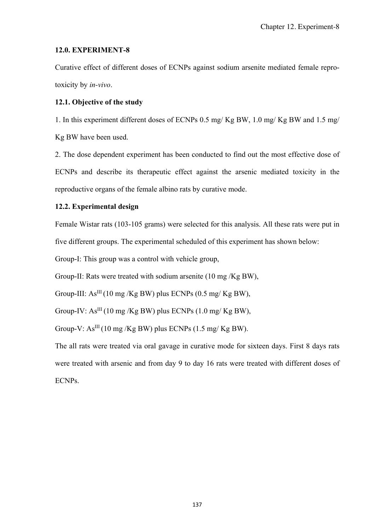# **12.0. EXPERIMENT-8**

Curative effect of different doses of ECNPs against sodium arsenite mediated female reprotoxicity by *in-vivo*.

# **12.1. Objective of the study**

1. In this experiment different doses of ECNPs 0.5 mg/ Kg BW, 1.0 mg/ Kg BW and 1.5 mg/ Kg BW have been used.

2. The dose dependent experiment has been conducted to find out the most effective dose of ECNPs and describe its therapeutic effect against the arsenic mediated toxicity in the reproductive organs of the female albino rats by curative mode.

# **12.2. Experimental design**

Female Wistar rats (103-105 grams) were selected for this analysis. All these rats were put in five different groups. The experimental scheduled of this experiment has shown below:

Group-I: This group was a control with vehicle group,

Group-II: Rats were treated with sodium arsenite (10 mg /Kg BW),

Group-III:  $As^{III}(10 \text{ mg/Kg BW})$  plus ECNPs  $(0.5 \text{ mg/Kg BW})$ .

Group-IV:  $As^{III}$  (10 mg /Kg BW) plus ECNPs (1.0 mg/Kg BW),

Group-V:  $As^{III}$  (10 mg /Kg BW) plus ECNPs (1.5 mg/Kg BW).

The all rats were treated via oral gavage in curative mode for sixteen days. First 8 days rats were treated with arsenic and from day 9 to day 16 rats were treated with different doses of ECNPs.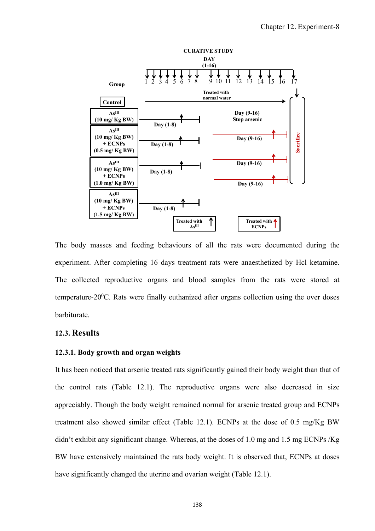

The body masses and feeding behaviours of all the rats were documented during the experiment. After completing 16 days treatment rats were anaesthetized by Hcl ketamine. The collected reproductive organs and blood samples from the rats were stored at temperature-20 $\degree$ C. Rats were finally euthanized after organs collection using the over doses barbiturate.

## **12.3. Results**

## **12.3.1. Body growth and organ weights**

It has been noticed that arsenic treated rats significantly gained their body weight than that of the control rats (Table 12.1). The reproductive organs were also decreased in size appreciably. Though the body weight remained normal for arsenic treated group and ECNPs treatment also showed similar effect (Table 12.1). ECNPs at the dose of 0.5 mg/Kg BW didn't exhibit any significant change. Whereas, at the doses of 1.0 mg and 1.5 mg ECNPs /Kg BW have extensively maintained the rats body weight. It is observed that, ECNPs at doses have significantly changed the uterine and ovarian weight (Table 12.1).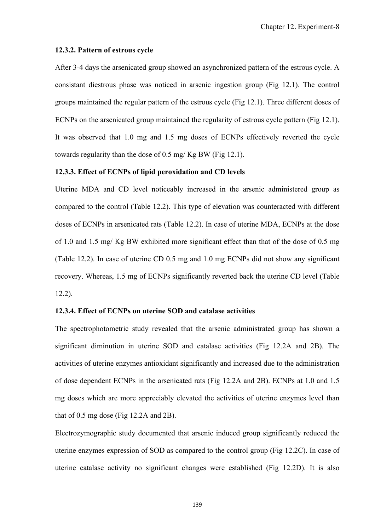#### **12.3.2. Pattern of estrous cycle**

After 3-4 days the arsenicated group showed an asynchronized pattern of the estrous cycle. A consistant diestrous phase was noticed in arsenic ingestion group (Fig 12.1). The control groups maintained the regular pattern of the estrous cycle (Fig 12.1). Three different doses of ECNPs on the arsenicated group maintained the regularity of estrous cycle pattern (Fig 12.1). It was observed that 1.0 mg and 1.5 mg doses of ECNPs effectively reverted the cycle towards regularity than the dose of 0.5 mg/ Kg BW (Fig 12.1).

## **12.3.3. Effect of ECNPs of lipid peroxidation and CD levels**

Uterine MDA and CD level noticeably increased in the arsenic administered group as compared to the control (Table 12.2). This type of elevation was counteracted with different doses of ECNPs in arsenicated rats (Table 12.2). In case of uterine MDA, ECNPs at the dose of 1.0 and 1.5 mg/ Kg BW exhibited more significant effect than that of the dose of 0.5 mg (Table 12.2). In case of uterine CD 0.5 mg and 1.0 mg ECNPs did not show any significant recovery. Whereas, 1.5 mg of ECNPs significantly reverted back the uterine CD level (Table 12.2).

### **12.3.4. Effect of ECNPs on uterine SOD and catalase activities**

The spectrophotometric study revealed that the arsenic administrated group has shown a significant diminution in uterine SOD and catalase activities (Fig 12.2A and 2B). The activities of uterine enzymes antioxidant significantly and increased due to the administration of dose dependent ECNPs in the arsenicated rats (Fig 12.2A and 2B). ECNPs at 1.0 and 1.5 mg doses which are more appreciably elevated the activities of uterine enzymes level than that of 0.5 mg dose (Fig 12.2A and 2B).

Electrozymographic study documented that arsenic induced group significantly reduced the uterine enzymes expression of SOD as compared to the control group (Fig 12.2C). In case of uterine catalase activity no significant changes were established (Fig 12.2D). It is also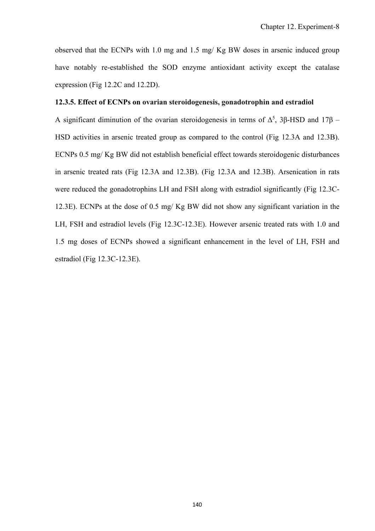observed that the ECNPs with 1.0 mg and 1.5 mg/ Kg BW doses in arsenic induced group have notably re-established the SOD enzyme antioxidant activity except the catalase expression (Fig 12.2C and 12.2D).

## **12.3.5. Effect of ECNPs on ovarian steroidogenesis, gonadotrophin and estradiol**

A significant diminution of the ovarian steroidogenesis in terms of  $\Delta^5$ , 3 $\beta$ -HSD and 17 $\beta$  -HSD activities in arsenic treated group as compared to the control (Fig 12.3A and 12.3B). ECNPs 0.5 mg/ Kg BW did not establish beneficial effect towards steroidogenic disturbances in arsenic treated rats (Fig 12.3A and 12.3B). (Fig 12.3A and 12.3B). Arsenication in rats were reduced the gonadotrophins LH and FSH along with estradiol significantly (Fig 12.3C-12.3E). ECNPs at the dose of 0.5 mg/ Kg BW did not show any significant variation in the LH, FSH and estradiol levels (Fig 12.3C-12.3E). However arsenic treated rats with 1.0 and 1.5 mg doses of ECNPs showed a significant enhancement in the level of LH, FSH and estradiol (Fig 12.3C-12.3E).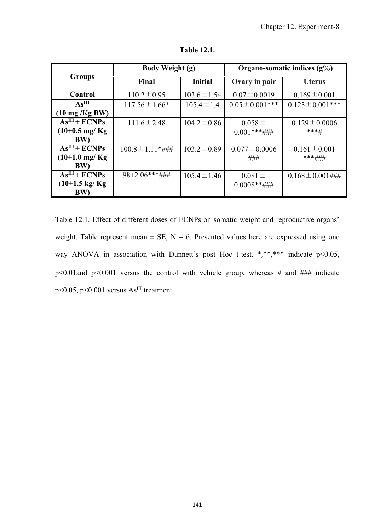| <b>Groups</b>            | <b>Body Weight (g)</b> |                  | Organo-somatic indices $(g\%)$ |                       |
|--------------------------|------------------------|------------------|--------------------------------|-----------------------|
|                          | Final                  | <b>Initial</b>   | Ovary in pair                  | <b>Uterus</b>         |
| Control                  | $110.2 \pm 0.95$       | $103.6 \pm 1.54$ | $0.07 \pm 0.0019$              | $0.169 \pm 0.001$     |
| As <sup>III</sup>        | $117.56 \pm 1.66*$     | $105.4 \pm 1.4$  | $0.05 \pm 0.001$ ***           | $0.123 \pm 0.001$ *** |
| $(10 \text{ mg/Kg BW})$  |                        |                  |                                |                       |
| $AsIII + ECNPs$          | $111.6 \pm 2.48$       | $104.2 \pm 0.86$ | $0.058 \pm$                    | $0.129 \pm 0.0006$    |
| $(10+0.5 \text{ mg/Kg})$ |                        |                  | $0.001$ ***###                 | $***$ #               |
| <b>BW)</b>               |                        |                  |                                |                       |
| $AsIII + ECNPs$          | $100.8 \pm 1.11$ *###  | $103.2 \pm 0.89$ | $0.077 \pm 0.0006$             | $0.161 \pm 0.001$     |
| $(10+1.0 \text{ mg/Kg})$ |                        |                  | ###                            | ***###                |
| <b>BW</b>                |                        |                  |                                |                       |
| $AsIII + ECNPs$          | $98+2.06***\#$         | $105.4 \pm 1.46$ | $0.081 \pm$                    | $0.168 \pm 0.001$ ### |
| $(10+1.5 \text{ kg/Kg})$ |                        |                  | $0.0008$ **###                 |                       |
| <b>BW</b> )              |                        |                  |                                |                       |

**Table 12.1.** 

Table 12.1. Effect of different doses of ECNPs on somatic weight and reproductive organs' weight. Table represent mean  $\pm$  SE, N = 6. Presented values here are expressed using one way ANOVA in association with Dunnett's post Hoc t-test. \*,\*\*,\*\*\* indicate p<0.05, p<0.01and p<0.001 versus the control with vehicle group, whereas # and ### indicate p<0.05, p<0.001 versus AsIII treatment.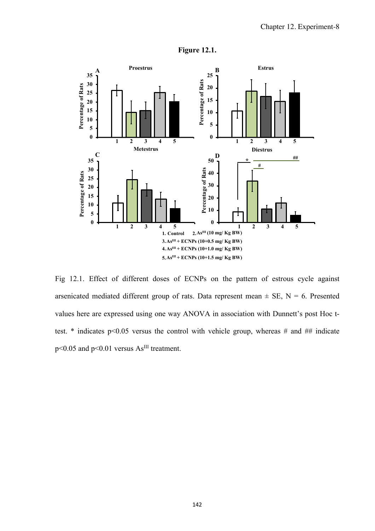

**Figure 12.1.** 

Fig 12.1. Effect of different doses of ECNPs on the pattern of estrous cycle against arsenicated mediated different group of rats. Data represent mean  $\pm$  SE, N = 6. Presented values here are expressed using one way ANOVA in association with Dunnett's post Hoc ttest.  $*$  indicates p<0.05 versus the control with vehicle group, whereas # and ## indicate  $p \le 0.05$  and  $p \le 0.01$  versus As<sup>III</sup> treatment.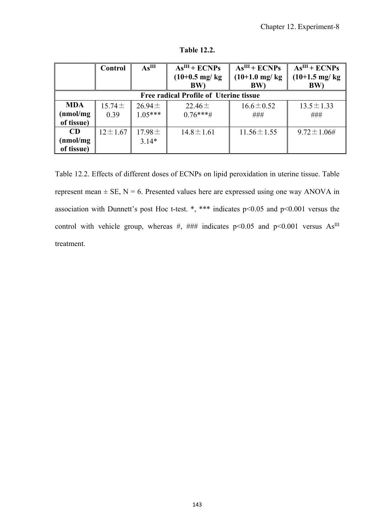|                                               | Control       | As <sup>III</sup> | $AsIII + ECNPs$          | $AsIII + ECNPs$          | $\overline{As}$ <sup>III</sup> + ECNPs |  |  |
|-----------------------------------------------|---------------|-------------------|--------------------------|--------------------------|----------------------------------------|--|--|
|                                               |               |                   | $(10+0.5 \text{ mg/kg})$ | $(10+1.0 \text{ mg/kg})$ | $(10+1.5 \text{ mg/kg})$               |  |  |
|                                               |               |                   | BW)                      | BW)                      | BW)                                    |  |  |
| <b>Free radical Profile of Uterine tissue</b> |               |                   |                          |                          |                                        |  |  |
| <b>MDA</b>                                    | $15.74 \pm$   | $26.94 \pm$       | $22.46 \pm$              | $16.6 \pm 0.52$          | $13.5 \pm 1.33$                        |  |  |
| (nmol/mg                                      | 0.39          | $1.05***$         | $0.76***#$               | ###                      | ###                                    |  |  |
| of tissue)                                    |               |                   |                          |                          |                                        |  |  |
| <b>CD</b>                                     | $12 \pm 1.67$ | $17.98 \pm$       | $14.8 \pm 1.61$          | $11.56 \pm 1.55$         | $9.72 \pm 1.06$ #                      |  |  |
| (nmol/mg                                      |               | $3.14*$           |                          |                          |                                        |  |  |
| of tissue)                                    |               |                   |                          |                          |                                        |  |  |

**Table 12.2.** 

Table 12.2. Effects of different doses of ECNPs on lipid peroxidation in uterine tissue. Table represent mean  $\pm$  SE, N = 6. Presented values here are expressed using one way ANOVA in association with Dunnett's post Hoc t-test. \*, \*\*\* indicates p<0.05 and p<0.001 versus the control with vehicle group, whereas #, ### indicates  $p<0.05$  and  $p<0.001$  versus As<sup>III</sup> treatment.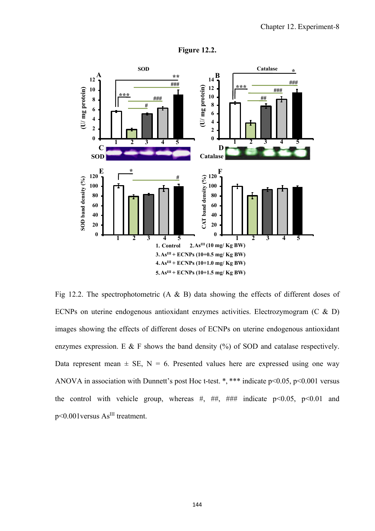

**Figure 12.2.** 

Fig 12.2. The spectrophotometric  $(A \& B)$  data showing the effects of different doses of ECNPs on uterine endogenous antioxidant enzymes activities. Electrozymogram (C & D) images showing the effects of different doses of ECNPs on uterine endogenous antioxidant enzymes expression. E  $&$  F shows the band density  $(\%)$  of SOD and catalase respectively. Data represent mean  $\pm$  SE, N = 6. Presented values here are expressed using one way ANOVA in association with Dunnett's post Hoc t-test. \*, \*\*\* indicate  $p<0.05$ ,  $p<0.001$  versus the control with vehicle group, whereas #, ##, ### indicate  $p<0.05$ ,  $p<0.01$  and  $p<0.001$  versus  $\text{As}^{\text{III}}$  treatment.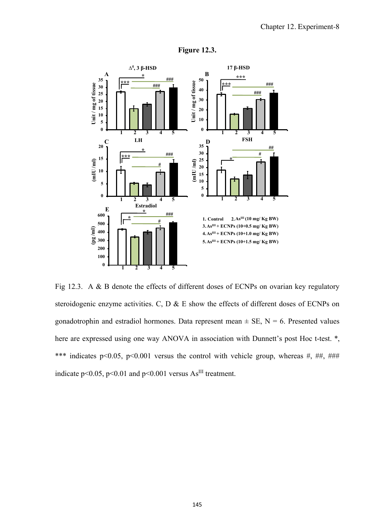

## **Figure 12.3.**

Fig 12.3. A & B denote the effects of different doses of ECNPs on ovarian key regulatory steroidogenic enzyme activities. C, D & E show the effects of different doses of ECNPs on gonadotrophin and estradiol hormones. Data represent mean  $\pm$  SE, N = 6. Presented values here are expressed using one way ANOVA in association with Dunnett's post Hoc t-test. \*, \*\*\* indicates p<0.05, p<0.001 versus the control with vehicle group, whereas #, ##, ### indicate p<0.05, p<0.01 and p<0.001 versus  $As^{III}$  treatment.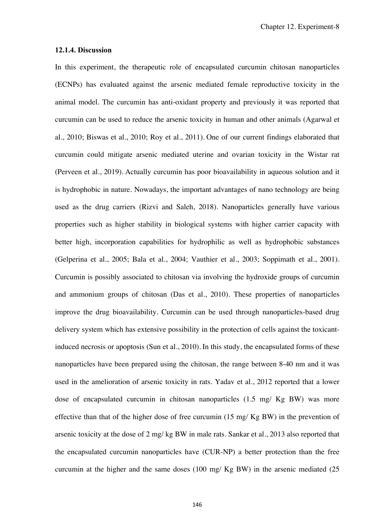#### **12.1.4. Discussion**

In this experiment, the therapeutic role of encapsulated curcumin chitosan nanoparticles (ECNPs) has evaluated against the arsenic mediated female reproductive toxicity in the animal model. The curcumin has anti-oxidant property and previously it was reported that curcumin can be used to reduce the arsenic toxicity in human and other animals (Agarwal et al., 2010; Biswas et al., 2010; Roy et al., 2011). One of our current findings elaborated that curcumin could mitigate arsenic mediated uterine and ovarian toxicity in the Wistar rat (Perveen et al., 2019). Actually curcumin has poor bioavailability in aqueous solution and it is hydrophobic in nature. Nowadays, the important advantages of nano technology are being used as the drug carriers (Rizvi and Saleh, 2018). Nanoparticles generally have various properties such as higher stability in biological systems with higher carrier capacity with better high, incorporation capabilities for hydrophilic as well as hydrophobic substances (Gelperina et al., 2005; Bala et al., 2004; Vauthier et al., 2003; Soppimath et al., 2001). Curcumin is possibly associated to chitosan via involving the hydroxide groups of curcumin and ammonium groups of chitosan (Das et al., 2010). These properties of nanoparticles improve the drug bioavailability. Curcumin can be used through nanoparticles-based drug delivery system which has extensive possibility in the protection of cells against the toxicantinduced necrosis or apoptosis (Sun et al., 2010). In this study, the encapsulated forms of these nanoparticles have been prepared using the chitosan, the range between 8-40 nm and it was used in the amelioration of arsenic toxicity in rats. Yadav et al., 2012 reported that a lower dose of encapsulated curcumin in chitosan nanoparticles (1.5 mg/ Kg BW) was more effective than that of the higher dose of free curcumin (15 mg/ Kg BW) in the prevention of arsenic toxicity at the dose of 2 mg/ kg BW in male rats. Sankar et al., 2013 also reported that the encapsulated curcumin nanoparticles have (CUR-NP) a better protection than the free curcumin at the higher and the same doses (100 mg/ Kg BW) in the arsenic mediated (25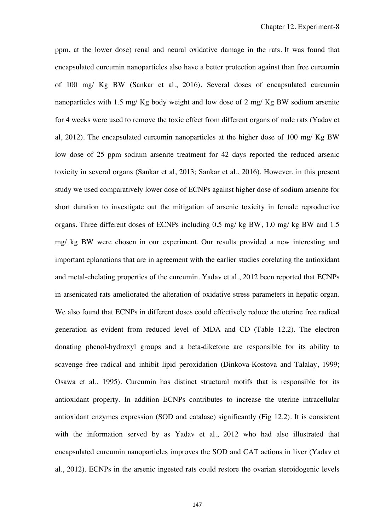ppm, at the lower dose) renal and neural oxidative damage in the rats. It was found that encapsulated curcumin nanoparticles also have a better protection against than free curcumin of 100 mg/ Kg BW (Sankar et al., 2016). Several doses of encapsulated curcumin nanoparticles with 1.5 mg/ Kg body weight and low dose of 2 mg/ Kg BW sodium arsenite for 4 weeks were used to remove the toxic effect from different organs of male rats (Yadav et al, 2012). The encapsulated curcumin nanoparticles at the higher dose of 100 mg/ Kg BW low dose of 25 ppm sodium arsenite treatment for 42 days reported the reduced arsenic toxicity in several organs (Sankar et al, 2013; Sankar et al., 2016). However, in this present study we used comparatively lower dose of ECNPs against higher dose of sodium arsenite for short duration to investigate out the mitigation of arsenic toxicity in female reproductive organs. Three different doses of ECNPs including 0.5 mg/ kg BW, 1.0 mg/ kg BW and 1.5 mg/ kg BW were chosen in our experiment. Our results provided a new interesting and important eplanations that are in agreement with the earlier studies corelating the antioxidant and metal-chelating properties of the curcumin. Yadav et al., 2012 been reported that ECNPs in arsenicated rats ameliorated the alteration of oxidative stress parameters in hepatic organ. We also found that ECNPs in different doses could effectively reduce the uterine free radical generation as evident from reduced level of MDA and CD (Table 12.2). The electron donating phenol-hydroxyl groups and a beta-diketone are responsible for its ability to scavenge free radical and inhibit lipid peroxidation (Dinkova-Kostova and Talalay, 1999; Osawa et al., 1995). Curcumin has distinct structural motifs that is responsible for its antioxidant property. In addition ECNPs contributes to increase the uterine intracellular antioxidant enzymes expression (SOD and catalase) significantly (Fig 12.2). It is consistent with the information served by as Yadav et al., 2012 who had also illustrated that encapsulated curcumin nanoparticles improves the SOD and CAT actions in liver (Yadav et al., 2012). ECNPs in the arsenic ingested rats could restore the ovarian steroidogenic levels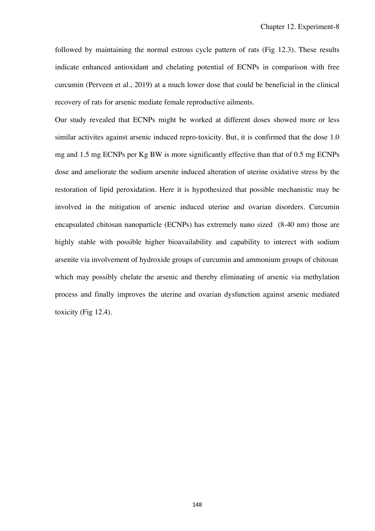followed by maintaining the normal estrous cycle pattern of rats (Fig 12.3). These results indicate enhanced antioxidant and chelating potential of ECNPs in comparison with free curcumin (Perveen et al., 2019) at a much lower dose that could be beneficial in the clinical recovery of rats for arsenic mediate female reproductive ailments.

Our study revealed that ECNPs might be worked at different doses showed more or less similar activites against arsenic induced repro-toxicity. But, it is confirmed that the dose 1.0 mg and 1.5 mg ECNPs per Kg BW is more significantly effective than that of 0.5 mg ECNPs dose and ameliorate the sodium arsenite induced alteration of uterine oxidative stress by the restoration of lipid peroxidation. Here it is hypothesized that possible mechanistic may be involved in the mitigation of arsenic induced uterine and ovarian disorders. Curcumin encapsulated chitosan nanoparticle (ECNPs) has extremely nano sized (8-40 nm) those are highly stable with possible higher bioavailability and capability to interect with sodium arsenite via involvement of hydroxide groups of curcumin and ammonium groups of chitosan which may possibly chelate the arsenic and thereby eliminating of arsenic via methylation process and finally improves the uterine and ovarian dysfunction against arsenic mediated toxicity (Fig 12.4).